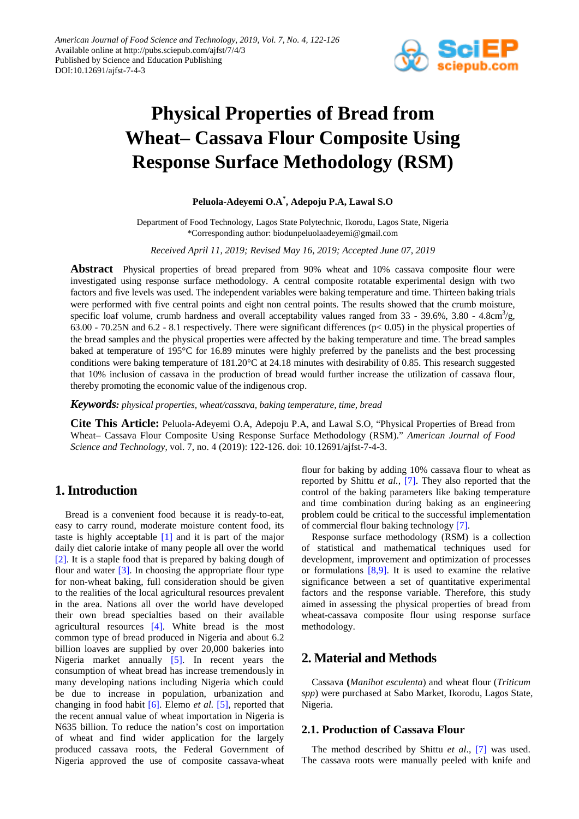

# **Physical Properties of Bread from Wheat– Cassava Flour Composite Using Response Surface Methodology (RSM)**

## **Peluola-Adeyemi O.A\* , Adepoju P.A, Lawal S.O**

Department of Food Technology, Lagos State Polytechnic, Ikorodu, Lagos State, Nigeria \*Corresponding author: biodunpeluolaadeyemi@gmail.com

*Received April 11, 2019; Revised May 16, 2019; Accepted June 07, 2019*

**Abstract** Physical properties of bread prepared from 90% wheat and 10% cassava composite flour were investigated using response surface methodology. A central composite rotatable experimental design with two factors and five levels was used. The independent variables were baking temperature and time. Thirteen baking trials were performed with five central points and eight non central points. The results showed that the crumb moisture, specific loaf volume, crumb hardness and overall acceptability values ranged from  $33 - 39.6\%$ ,  $3.80 - 4.8 \text{cm}^3/\text{g}$ ,  $63.00 - 70.25N$  and  $6.2 - 8.1$  respectively. There were significant differences ( $pc 0.05$ ) in the physical properties of the bread samples and the physical properties were affected by the baking temperature and time. The bread samples baked at temperature of 195°C for 16.89 minutes were highly preferred by the panelists and the best processing conditions were baking temperature of 181.20°C at 24.18 minutes with desirability of 0.85. This research suggested that 10% inclusion of cassava in the production of bread would further increase the utilization of cassava flour, thereby promoting the economic value of the indigenous crop.

*Keywords: physical properties, wheat/cassava, baking temperature, time, bread*

**Cite This Article:** Peluola-Adeyemi O.A, Adepoju P.A, and Lawal S.O, "Physical Properties of Bread from Wheat– Cassava Flour Composite Using Response Surface Methodology (RSM)." *American Journal of Food Science and Technology*, vol. 7, no. 4 (2019): 122-126. doi: 10.12691/ajfst-7-4-3.

# **1. Introduction**

Bread is a convenient food because it is ready-to-eat, easy to carry round, moderate moisture content food, its taste is highly acceptable [\[1\]](#page-3-0) and it is part of the major daily diet calorie intake of many people all over the world [\[2\].](#page-3-1) It is a staple food that is prepared by baking dough of flour and water  $\boxed{3}$ . In choosing the appropriate flour type for non-wheat baking, full consideration should be given to the realities of the local agricultural resources prevalent in the area. Nations all over the world have developed their own bread specialties based on their available agricultural resources [\[4\].](#page-3-3) White bread is the most common type of bread produced in Nigeria and about 6.2 billion loaves are supplied by over 20,000 bakeries into Nigeria market annually [\[5\].](#page-3-4) In recent years the consumption of wheat bread has increase tremendously in many developing nations including Nigeria which could be due to increase in population, urbanization and changing in food habit [\[6\].](#page-3-5) Elemo *et al.* [\[5\],](#page-3-4) reported that the recent annual value of wheat importation in Nigeria is N635 billion. To reduce the nation's cost on importation of wheat and find wider application for the largely produced cassava roots, the Federal Government of Nigeria approved the use of composite cassava-wheat flour for baking by adding 10% cassava flour to wheat as reported by Shittu *et al.,* [\[7\].](#page-3-6) They also reported that the control of the baking parameters like baking temperature and time combination during baking as an engineering problem could be critical to the successful implementation of commercial flour baking technology [\[7\].](#page-3-6)

Response surface methodology (RSM) is a collection of statistical and mathematical techniques used for development, improvement and optimization of processes or formulations  $[8,9]$ . It is used to examine the relative significance between a set of quantitative experimental factors and the response variable. Therefore, this study aimed in assessing the physical properties of bread from wheat-cassava composite flour using response surface methodology.

# **2. Material and Methods**

Cassava **(***Manihot esculenta*) and wheat flour (*Triticum spp*) were purchased at Sabo Market, Ikorodu, Lagos State, Nigeria.

## **2.1. Production of Cassava Flour**

The method described by Shittu *et al*., [\[7\]](#page-3-6) was used. The cassava roots were manually peeled with knife and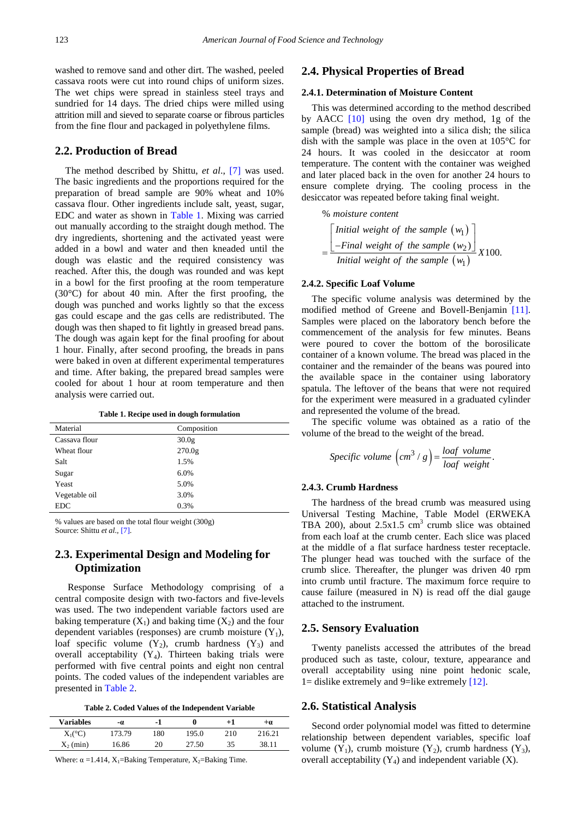washed to remove sand and other dirt. The washed, peeled cassava roots were cut into round chips of uniform sizes. The wet chips were spread in stainless steel trays and sundried for 14 days. The dried chips were milled using attrition mill and sieved to separate coarse or fibrous particles from the fine flour and packaged in polyethylene films.

#### **2.2. Production of Bread**

The method described by Shittu, *et al*., [\[7\]](#page-3-6) was used. The basic ingredients and the proportions required for the preparation of bread sample are 90% wheat and 10% cassava flour. Other ingredients include salt, yeast, sugar, EDC and water as shown in [Table 1.](#page-1-0) Mixing was carried out manually according to the straight dough method. The dry ingredients, shortening and the activated yeast were added in a bowl and water and then kneaded until the dough was elastic and the required consistency was reached. After this, the dough was rounded and was kept in a bowl for the first proofing at the room temperature (30°C) for about 40 min. After the first proofing, the dough was punched and works lightly so that the excess gas could escape and the gas cells are redistributed. The dough was then shaped to fit lightly in greased bread pans. The dough was again kept for the final proofing for about 1 hour. Finally, after second proofing, the breads in pans were baked in oven at different experimental temperatures and time. After baking, the prepared bread samples were cooled for about 1 hour at room temperature and then analysis were carried out.

**Table 1. Recipe used in dough formulation** 

<span id="page-1-0"></span>

| Composition        |
|--------------------|
| 30.0 <sub>g</sub>  |
| 270.0 <sub>g</sub> |
| 1.5%               |
| 6.0%               |
| 5.0%               |
| 3.0%               |
| 0.3%               |
|                    |

% values are based on the total flour weight (300g) Source: Shittu *et al.,* [\[7\].](#page-3-6)

## **2.3. Experimental Design and Modeling for Optimization**

Response Surface Methodology comprising of a central composite design with two-factors and five-levels was used. The two independent variable factors used are baking temperature  $(X_1)$  and baking time  $(X_2)$  and the four dependent variables (responses) are crumb moisture  $(Y_1)$ , loaf specific volume  $(Y_2)$ , crumb hardness  $(Y_3)$  and overall acceptability  $(Y_4)$ . Thirteen baking trials were performed with five central points and eight non central points. The coded values of the independent variables are presented in [Table 2.](#page-1-1)

**Table 2. Coded Values of the Independent Variable**

<span id="page-1-1"></span>

| <b>Variables</b>   | -0.    | - 1 |       | +1  | ÷α     |
|--------------------|--------|-----|-------|-----|--------|
| $X_1({}^{\circ}C)$ | 173.79 | 180 | 195.0 | 210 | 216.21 |
| $X_2$ (min)        | 16.86  | 20  | 27.50 | 35  | 38.11  |

Where:  $\alpha = 1.414$ ,  $X_1 = B$ aking Temperature,  $X_2 = B$ aking Time.

#### **2.4. Physical Properties of Bread**

#### **2.4.1. Determination of Moisture Content**

This was determined according to the method described by AACC [\[10\]](#page-4-1) using the oven dry method, 1g of the sample (bread) was weighted into a silica dish; the silica dish with the sample was place in the oven at 105°C for 24 hours. It was cooled in the desiccator at room temperature. The content with the container was weighed and later placed back in the oven for another 24 hours to ensure complete drying. The cooling process in the desiccator was repeated before taking final weight.

% moisture content  
\n
$$
= \frac{\begin{bmatrix} Initial weight of the sample (w_1) \\ -Final weight of the sample (w_2) \end{bmatrix}}{Initial weight of the sample (w_1)} X100.
$$

#### **2.4.2. Specific Loaf Volume**

The specific volume analysis was determined by the modified method of Greene and Bovell-Benjamin [\[11\].](#page-4-2) Samples were placed on the laboratory bench before the commencement of the analysis for few minutes. Beans were poured to cover the bottom of the borosilicate container of a known volume. The bread was placed in the container and the remainder of the beans was poured into the available space in the container using laboratory spatula. The leftover of the beans that were not required for the experiment were measured in a graduated cylinder and represented the volume of the bread.

The specific volume was obtained as a ratio of the volume of the bread to the weight of the bread.

$$
Specific \ volume \left( cm^3 / g \right) = \frac{logf \ volume}{logf \ weight}.
$$

#### **2.4.3. Crumb Hardness**

The hardness of the bread crumb was measured using Universal Testing Machine, Table Model (ERWEKA TBA 200), about  $2.5 \times 1.5$  cm<sup>3</sup> crumb slice was obtained from each loaf at the crumb center. Each slice was placed at the middle of a flat surface hardness tester receptacle. The plunger head was touched with the surface of the crumb slice. Thereafter, the plunger was driven 40 rpm into crumb until fracture. The maximum force require to cause failure (measured in N) is read off the dial gauge attached to the instrument.

#### **2.5. Sensory Evaluation**

Twenty panelists accessed the attributes of the bread produced such as taste, colour, texture, appearance and overall acceptability using nine point hedonic scale, 1= dislike extremely and 9=like extremely  $[12]$ .

#### **2.6. Statistical Analysis**

Second order polynomial model was fitted to determine relationship between dependent variables, specific loaf volume  $(Y_1)$ , crumb moisture  $(Y_2)$ , crumb hardness  $(Y_3)$ , overall acceptability  $(Y_4)$  and independent variable  $(X)$ .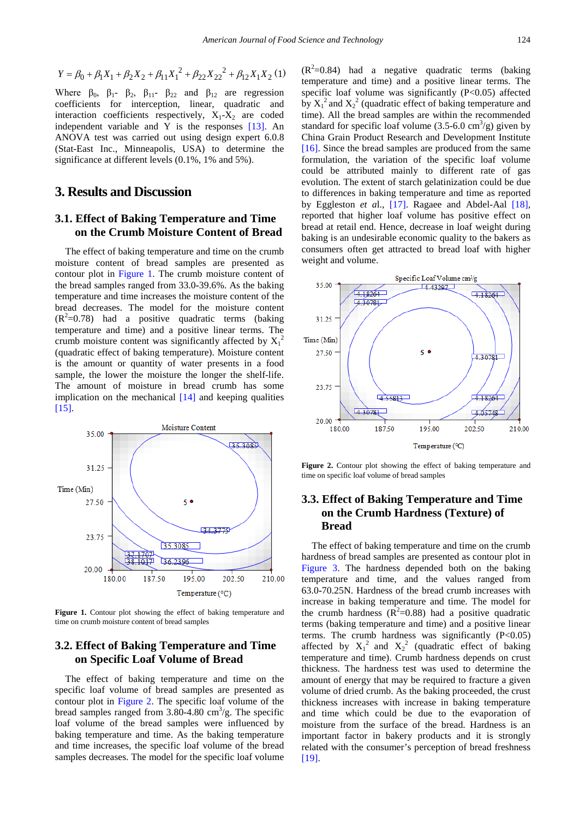$$
Y = \beta_0 + \beta_1 X_1 + \beta_2 X_2 + \beta_{11} X_1^2 + \beta_{22} X_{22}^2 + \beta_{12} X_1 X_2 (1)
$$

Where  $\beta_0$ ,  $\beta_1$ -  $\beta_2$ ,  $\beta_{11}$ -  $\beta_{22}$  and  $\beta_{12}$  are regression coefficients for interception, linear, quadratic and interaction coefficients respectively,  $X_1 - X_2$  are coded independent variable and Y is the responses [\[13\].](#page-4-4) An ANOVA test was carried out using design expert 6.0.8 (Stat-East Inc., Minneapolis, USA) to determine the significance at different levels (0.1%, 1% and 5%).

## **3. Results and Discussion**

## **3.1. Effect of Baking Temperature and Time on the Crumb Moisture Content of Bread**

The effect of baking temperature and time on the crumb moisture content of bread samples are presented as contour plot in [Figure 1.](#page-2-0) The crumb moisture content of the bread samples ranged from 33.0**-**39.6%. As the baking temperature and time increases the moisture content of the bread decreases. The model for the moisture content  $(R<sup>2</sup>=0.78)$  had a positive quadratic terms (baking temperature and time) and a positive linear terms. The crumb moisture content was significantly affected by  $X_1^2$ (quadratic effect of baking temperature). Moisture content is the amount or quantity of water presents in a food sample, the lower the moisture the longer the shelf-life. The amount of moisture in bread crumb has some implication on the mechanical [\[14\]](#page-4-5) and keeping qualities [\[15\].](#page-4-6)

<span id="page-2-0"></span>

Figure 1. Contour plot showing the effect of baking temperature and time on crumb moisture content of bread samples

## **3.2. Effect of Baking Temperature and Time on Specific Loaf Volume of Bread**

The effect of baking temperature and time on the specific loaf volume of bread samples are presented as contour plot in [Figure 2.](#page-2-1) The specific loaf volume of the bread samples ranged from  $3.80-4.80 \text{ cm}^3/\text{g}$ . The specific loaf volume of the bread samples were influenced by baking temperature and time. As the baking temperature and time increases, the specific loaf volume of the bread samples decreases. The model for the specific loaf volume

 $(R^2=0.84)$  had a negative quadratic terms (baking temperature and time) and a positive linear terms. The specific loaf volume was significantly  $(P<0.05)$  affected by  $X_1^2$  and  $X_2^2$  (quadratic effect of baking temperature and time). All the bread samples are within the recommended standard for specific loaf volume  $(3.5-6.0 \text{ cm}^3/\text{g})$  given by China Grain Product Research and Development Institute [\[16\].](#page-4-7) Since the bread samples are produced from the same formulation, the variation of the specific loaf volume could be attributed mainly to different rate of gas evolution. The extent of starch gelatinization could be due to differences in baking temperature and time as reported by Eggleston *et a*l., [\[17\].](#page-4-8) Ragaee and Abdel-Aal [\[18\],](#page-4-9) reported that higher loaf volume has positive effect on bread at retail end. Hence, decrease in loaf weight during baking is an undesirable economic quality to the bakers as consumers often get attracted to bread loaf with higher weight and volume.

<span id="page-2-1"></span>

Figure 2. Contour plot showing the effect of baking temperature and time on specific loaf volume of bread samples

## **3.3. Effect of Baking Temperature and Time on the Crumb Hardness (Texture) of Bread**

The effect of baking temperature and time on the crumb hardness of bread samples are presented as contour plot in [Figure 3.](#page-3-7) The hardness depended both on the baking temperature and time, and the values ranged from 63.0**-**70.25N. Hardness of the bread crumb increases with increase in baking temperature and time. The model for the crumb hardness  $(R^2=0.88)$  had a positive quadratic terms (baking temperature and time) and a positive linear terms. The crumb hardness was significantly  $(P<0.05)$ affected by  $X_1^2$  and  $X_2^2$  (quadratic effect of baking temperature and time). Crumb hardness depends on crust thickness. The hardness test was used to determine the amount of energy that may be required to fracture a given volume of dried crumb. As the baking proceeded, the crust thickness increases with increase in baking temperature and time which could be due to the evaporation of moisture from the surface of the bread. Hardness is an important factor in bakery products and it is strongly related with the consumer's perception of bread freshness [\[19\].](#page-4-10)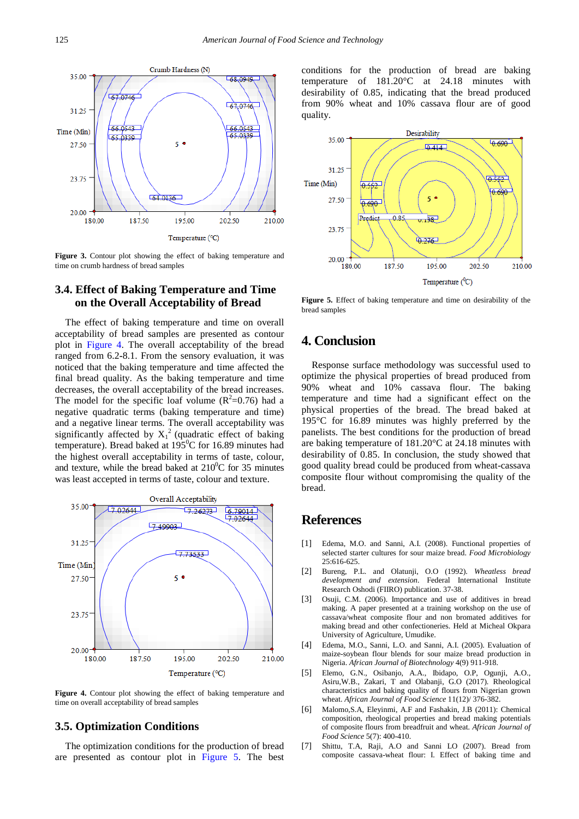<span id="page-3-7"></span>

**Figure 3.** Contour plot showing the effect of baking temperature and time on crumb hardness of bread samples

## **3.4. Effect of Baking Temperature and Time on the Overall Acceptability of Bread**

The effect of baking temperature and time on overall acceptability of bread samples are presented as contour plot in [Figure 4.](#page-3-8) The overall acceptability of the bread ranged from 6.2**-**8.1. From the sensory evaluation, it was noticed that the baking temperature and time affected the final bread quality. As the baking temperature and time decreases, the overall acceptability of the bread increases. The model for the specific loaf volume  $(R^2=0.76)$  had a negative quadratic terms (baking temperature and time) and a negative linear terms. The overall acceptability was significantly affected by  $X_1^2$  (quadratic effect of baking temperature). Bread baked at  $195^{\circ}$ C for 16.89 minutes had the highest overall acceptability in terms of taste, colour, and texture, while the bread baked at  $210^0C$  for 35 minutes was least accepted in terms of taste, colour and texture.

<span id="page-3-8"></span>

**Figure 4.** Contour plot showing the effect of baking temperature and time on overall acceptability of bread samples

#### **3.5. Optimization Conditions**

The optimization conditions for the production of bread are presented as contour plot in [Figure 5.](#page-3-9) The best conditions for the production of bread are baking temperature of 181.20°C at 24.18 minutes with desirability of 0.85, indicating that the bread produced from 90% wheat and 10% cassava flour are of good quality.

<span id="page-3-9"></span>

Figure 5. Effect of baking temperature and time on desirability of the bread samples

# **4. Conclusion**

Response surface methodology was successful used to optimize the physical properties of bread produced from 90% wheat and 10% cassava flour. The baking temperature and time had a significant effect on the physical properties of the bread. The bread baked at 195°C for 16.89 minutes was highly preferred by the panelists. The best conditions for the production of bread are baking temperature of 181.20°C at 24.18 minutes with desirability of 0.85. In conclusion, the study showed that good quality bread could be produced from wheat-cassava composite flour without compromising the quality of the bread.

## **References**

- <span id="page-3-0"></span>[1] Edema, M.O. and Sanni, A.I. (2008). Functional properties of selected starter cultures for sour maize bread. *Food Microbiology* 25:616-625.
- <span id="page-3-1"></span>[2] Bureng, P.L. and Olatunji, O.O (1992). *Wheatless bread development and extension*. Federal International Institute Research Oshodi (FIIRO) publication. 37-38.
- <span id="page-3-2"></span>[3] Osuji, C.M. (2006). Importance and use of additives in bread making. A paper presented at a training workshop on the use of cassava/wheat composite flour and non bromated additives for making bread and other confectioneries. Held at Micheal Okpara University of Agriculture, Umudike.
- <span id="page-3-3"></span>[4] Edema, M.O., Sanni, L.O. and Sanni, A.I. (2005). Evaluation of maize-soybean flour blends for sour maize bread production in Nigeria. *African Journal of Biotechnology* 4(9) 911-918.
- <span id="page-3-4"></span>[5] Elemo, G.N., Osibanjo, A.A., Ibidapo, O.P, Ogunji, A.O., Asiru,W.B., Zakari, T and Olabanji, G.O (2017). Rheological characteristics and baking quality of flours from Nigerian grown wheat. *African Journal of Food Science* 11(12)/ 376-382.
- <span id="page-3-5"></span>[6] Malomo,S.A, Eleyinmi, A.F and Fashakin, J.B (2011): Chemical composition, rheological properties and bread making potentials of composite flours from breadfruit and wheat. *African Journal of Food Science* 5(7): 400-410.
- <span id="page-3-6"></span>[7] Shittu, T.A, Raji, A.O and Sanni LO (2007). Bread from composite cassava-wheat flour: I. Effect of baking time and